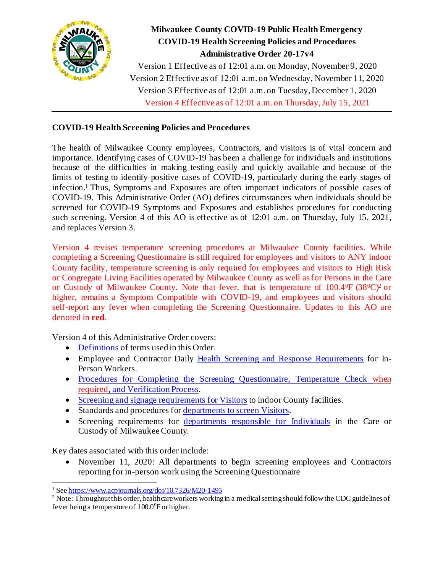

# **Milwaukee County COVID-19 Public Health Emergency COVID-19 Health Screening Policies and Procedures Administrative Order 20-17v4**

Version 1 Effective as of 12:01 a.m. on Monday, November 9, 2020 Version 2 Effective as of 12:01 a.m. on Wednesday, November 11, 2020 Version 3 Effective as of 12:01 a.m. on Tuesday, December 1, 2020 Version 4 Effective as of 12:01 a.m. on Thursday, July 15, 2021

## **COVID-19 Health Screening Policies and Procedures**

The health of Milwaukee County employees, Contractors, and visitors is of vital concern and importance. Identifying cases of COVID-19 has been a challenge for individuals and institutions because of the difficulties in making testing easily and quickly available and because of the limits of testing to identify positive cases of COVID-19, particularly during the early stages of infection. <sup>1</sup> Thus, Symptoms and Exposures are often important indicators of possible cases of COVID-19. This Administrative Order (AO) defines circumstances when individuals should be screened for COVID-19 Symptoms and Exposures and establishes procedures for conducting such screening. Version 4 of this AO is effective as of 12:01 a.m. on Thursday, July 15, 2021, and replaces Version 3.

Version 4 revises temperature screening procedures at Milwaukee County facilities. While completing a Screening Questionnaire is still required for employees and visitors to ANY indoor County facility, temperature screening is only required for employees and visitors to High Risk or Congregate Living Facilities operated by Milwaukee County as well as for Persons in the Care or Custody of Milwaukee County. Note that fever, that is temperature of  $100.4^{\circ}F (38^{\circ}C)^2$  or higher, remains a Symptom Compatible with COVID-19, and employees and visitors should self-report any fever when completing the Screening Questionnaire. Updates to this AO are denoted in **red**.

Version 4 of this Administrative Order covers:

- [Definitions](#page-1-0) of terms used in this Order.
- Employee and Contractor Daily [Health Screening and Response Requirements](#page-3-0) for In-Person Workers.
- [Procedures for Completing the Screening Questionnaire, Temperature Check](#page-5-0) when [required, and Verification Process](#page-5-0).
- Screening and signage [requirements for Visitors](#page-10-0) to indoor County facilities.
- Standards and procedures fo[r departments to screen Visitors](#page-11-0).
- Screening requirements for [departments responsible for Individuals](#page-13-0) in the Care or Custody of Milwaukee County.

Key dates associated with this order include:

• November 11, 2020: All departments to begin screening employees and Contractors reporting for in-person work using the Screening Questionnaire

<sup>1</sup> Se[e https://www.acpjournals.org/doi/10.7326/M20-1495](https://www.acpjournals.org/doi/10.7326/M20-1495)

<sup>&</sup>lt;sup>2</sup> Note: Throughout this order, healthcare workers working in a medical setting should follow the CDC guidelines of fever being a temperature of  $100.0^{\circ}$ F or higher.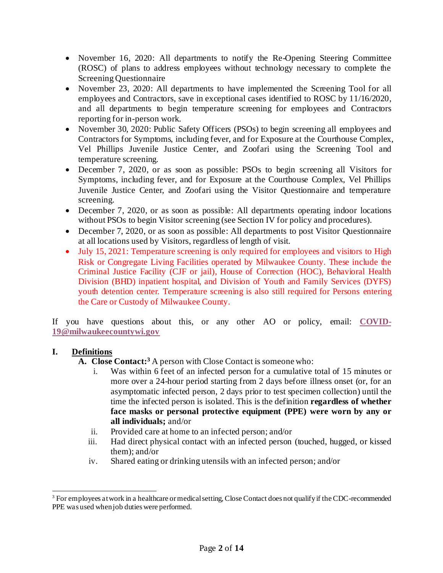- November 16, 2020: All departments to notify the Re-Opening Steering Committee (ROSC) of plans to address employees without technology necessary to complete the Screening Questionnaire
- November 23, 2020: All departments to have implemented the Screening Tool for all employees and Contractors, save in exceptional cases identified to ROSC by 11/16/2020, and all departments to begin temperature screening for employees and Contractors reporting for in-person work.
- November 30, 2020: Public Safety Officers (PSOs) to begin screening all employees and Contractors for Symptoms, including fever, and for Exposure at the Courthouse Complex, Vel Phillips Juvenile Justice Center, and Zoofari using the Screening Tool and temperature screening.
- December 7, 2020, or as soon as possible: PSOs to begin screening all Visitors for Symptoms, including fever, and for Exposure at the Courthouse Complex, Vel Phillips Juvenile Justice Center, and Zoofari using the Visitor Questionnaire and temperature screening.
- December 7, 2020, or as soon as possible: All departments operating indoor locations without PSOs to begin Visitor screening (see Section IV for policy and procedures).
- December 7, 2020, or as soon as possible: All departments to post Visitor Ouestionnaire at all locations used by Visitors, regardless of length of visit.
- July 15, 2021: Temperature screening is only required for employees and visitors to High Risk or Congregate Living Facilities operated by Milwaukee County. These include the Criminal Justice Facility (CJF or jail), House of Correction (HOC), Behavioral Health Division (BHD) inpatient hospital, and Division of Youth and Family Services (DYFS) youth detention center. Temperature screening is also still required for Persons entering the Care or Custody of Milwaukee County.

If you have questions about this, or any other AO or policy, email: **[COVID-](mailto:COVID-19@milwaukeecountywi.gov)[19@milwaukeecountywi.gov](mailto:COVID-19@milwaukeecountywi.gov)**

## <span id="page-1-0"></span>**I. Definitions**

- **A. Close Contact: <sup>3</sup>** A person with Close Contact is someone who:
	- i. Was within 6 feet of an infected person for a cumulative total of 15 minutes or more over a 24-hour period starting from 2 days before illness onset (or, for an asymptomatic infected person, 2 days prior to test specimen collection) until the time the infected person is isolated. This is the definition **regardless of whether face masks or personal protective equipment (PPE) were worn by any or all individuals;** and/or
	- ii. Provided care at home to an infected person; and/or
	- iii. Had direct physical contact with an infected person (touched, hugged, or kissed them); and/or
	- iv. Shared eating or drinking utensils with an infected person; and/or

 $3$  For employees at work in a healthcare or medical setting, Close Contact does not qualify if the CDC-recommended PPE was used when job duties were performed.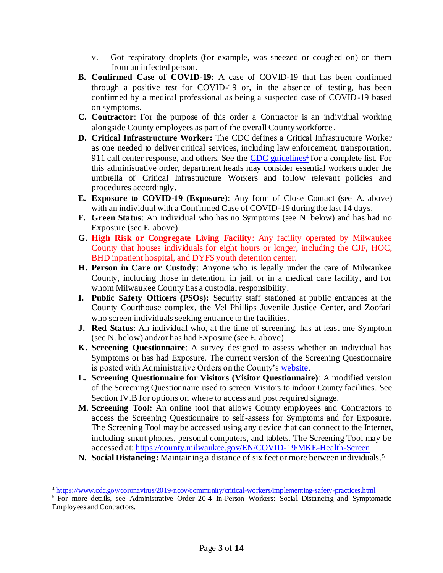- v. Got respiratory droplets (for example, was sneezed or coughed on) on them from an infected person.
- **B. Confirmed Case of COVID-19:** A case of COVID-19 that has been confirmed through a positive test for COVID-19 or, in the absence of testing, has been confirmed by a medical professional as being a suspected case of COVID-19 based on symptoms.
- **C. Contractor**: For the purpose of this order a Contractor is an individual working alongside County employees as part of the overall County workforce.
- **D. Critical Infrastructure Worker:** The CDC defines a Critical Infrastructure Worker as one needed to deliver critical services, including law enforcement, transportation, 911 call center response, and others. See the [CDC guidelines](https://www.cdc.gov/coronavirus/2019-ncov/community/critical-workers/implementing-safety-practices.html)<sup>4</sup> for a complete list. For this administrative order, department heads may consider essential workers under the umbrella of Critical Infrastructure Workers and follow relevant policies and procedures accordingly.
- **E. Exposure to COVID-19 (Exposure)**: Any form of Close Contact (see A. above) with an individual with a Confirmed Case of COVID-19 during the last 14 days.
- **F. Green Status**: An individual who has no Symptoms (see N. below) and has had no Exposure (see E. above).
- **G. High Risk or Congregate Living Facility**: Any facility operated by Milwaukee County that houses individuals for eight hours or longer, including the CJF, HOC, BHD inpatient hospital, and DYFS youth detention center.
- **H. Person in Care or Custody**: Anyone who is legally under the care of Milwaukee County, including those in detention, in jail, or in a medical care facility, and for whom Milwaukee County has a custodial responsibility.
- **I. Public Safety Officers (PSOs):** Security staff stationed at public entrances at the County Courthouse complex, the Vel Phillips Juvenile Justice Center, and Zoofari who screen individuals seeking entrance to the facilities.
- **J. Red Status**: An individual who, at the time of screening, has at least one Symptom (see N. below) and/or has had Exposure (see E. above).
- **K. Screening Questionnaire**: A survey designed to assess whether an individual has Symptoms or has had Exposure. The current version of the Screening Questionnaire is posted with Administrative Orders on the County'[s website](https://county.milwaukee.gov/EN/COVID-19).
- **L. Screening Questionnaire for Visitors (Visitor Questionnaire)**: A modified version of the Screening Questionnaire used to screen Visitors to indoor County facilities. See Section IV.B for options on where to access and post required signage.
- **M. Screening Tool:** An online tool that allows County employees and Contractors to access the Screening Questionnaire to self-assess for Symptoms and for Exposure. The Screening Tool may be accessed using any device that can connect to the Internet, including smart phones, personal computers, and tablets. The Screening Tool may be accessed at[: https://county.milwaukee.gov/EN/COVID-19/MKE-Health-Screen](https://county.milwaukee.gov/EN/COVID-19/MKE-Health-Screen)
- N. Social Distancing: Maintaining a distance of six feet or more between individuals.<sup>5</sup>

<sup>&</sup>lt;sup>4</sup> <https://www.cdc.gov/coronavirus/2019-ncov/community/critical-workers/implementing-safety-practices.html>

<sup>&</sup>lt;sup>5</sup> For more details, see Administrative Order 20-4 In-Person Workers: Social Distancing and Symptomatic Employees and Contractors.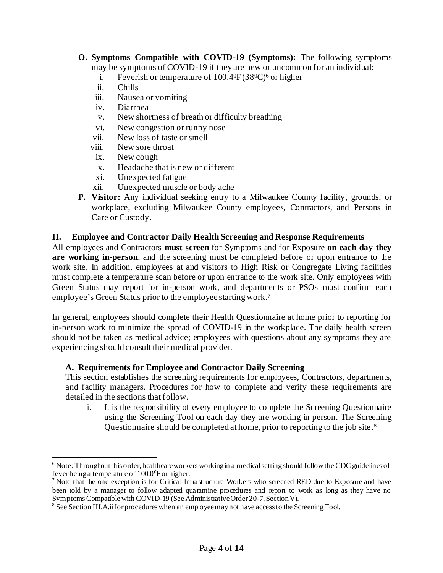- **O. Symptoms Compatible with COVID-19 (Symptoms):** The following symptoms may be symptoms of COVID-19 if they are new or uncommon for an individual:
	- i. Feverish or temperature of  $100.4^{\circ}F(38^{\circ}C)^6$  or higher
	- ii. Chills
	- iii. Nausea or vomiting
	- iv. Diarrhea
	- v. New shortness of breath or difficulty breathing
	- vi. New congestion or runny nose
	- vii. New loss of taste or smell
	- viii. New sore throat
		- ix. New cough
		- x. Headache that is new or different
		- xi. Unexpected fatigue
	- xii. Unexpected muscle or body ache
- **P. Visitor:** Any individual seeking entry to a Milwaukee County facility, grounds, or workplace, excluding Milwaukee County employees, Contractors, and Persons in Care or Custody.

### <span id="page-3-0"></span>**II. Employee and Contractor Daily Health Screening and Response Requirements**

All employees and Contractors **must screen** for Symptoms and for Exposure **on each day they are working in-person**, and the screening must be completed before or upon entrance to the work site. In addition, employees at and visitors to High Risk or Congregate Living facilities must complete a temperature scan before or upon entrance to the work site. Only employees with Green Status may report for in-person work, and departments or PSOs must confirm each employee's Green Status prior to the employee starting work. 7

In general, employees should complete their Health Questionnaire at home prior to reporting for in-person work to minimize the spread of COVID-19 in the workplace. The daily health screen should not be taken as medical advice; employees with questions about any symptoms they are experiencing should consult their medical provider.

#### **A. Requirements for Employee and Contractor Daily Screening**

This section establishes the screening requirements for employees, Contractors, departments, and facility managers. Procedures for how to complete and verify these requirements are detailed in the sections that follow.

i. It is the responsibility of every employee to complete the Screening Questionnaire using the Screening Tool on each day they are working in person. The Screening Questionnaire should be completed at home, prior to reporting to the job site.<sup>8</sup>

<sup>6</sup> Note: Throughout this order, healthcare workers working in a medical setting should follow the CDC guidelines of fever being a temperature of  $100.0^{\circ}$ F or higher.

<sup>&</sup>lt;sup>7</sup> Note that the one exception is for Critical Infrastructure Workers who screened RED due to Exposure and have been told by a manager to follow adapted quarantine procedures and report to work as long as they have no Symptoms Compatible with COVID-19 (See Administrative Order 20-7, Section V).

 $8\,$  See Section III.A.ii for procedures when an employee may not have access to the Screening Tool.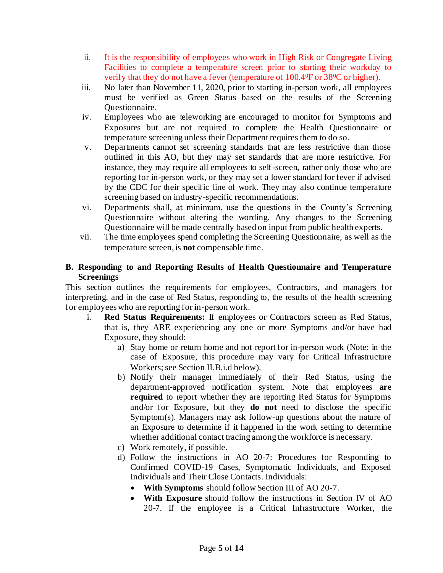- ii. It is the responsibility of employees who work in High Risk or Congregate Living Facilities to complete a temperature screen prior to starting their workday to verify that they do not have a fever (temperature of 100.4<sup>0</sup>F or 38<sup>0</sup>C or higher).
- iii. No later than November 11, 2020, prior to starting in-person work, all employees must be verified as Green Status based on the results of the Screening Questionnaire.
- iv. Employees who are teleworking are encouraged to monitor for Symptoms and Exposures but are not required to complete the Health Questionnaire or temperature screening unless their Department requires them to do so.
- v. Departments cannot set screening standards that are less restrictive than those outlined in this AO, but they may set standards that are more restrictive. For instance, they may require all employees to self-screen, rather only those who are reporting for in-person work, or they may set a lower standard for fever if advised by the CDC for their specific line of work. They may also continue temperature screening based on industry-specific recommendations.
- vi. Departments shall, at minimum, use the questions in the County's Screening Questionnaire without altering the wording. Any changes to the Screening Questionnaire will be made centrally based on input from public health experts.
- vii. The time employees spend completing the Screening Questionnaire, as well as the temperature screen, is **not** compensable time.

## **B. Responding to and Reporting Results of Health Questionnaire and Temperature Screenings**

This section outlines the requirements for employees, Contractors, and managers for interpreting, and in the case of Red Status, responding to, the results of the health screening for employees who are reporting for in-person work.

- i. **Red Status Requirements:** If employees or Contractors screen as Red Status, that is, they ARE experiencing any one or more Symptoms and/or have had Exposure, they should:
	- a) Stay home or return home and not report for in-person work (Note: in the case of Exposure, this procedure may vary for Critical Infrastructure Workers; see Section II.B.i.d below).
	- b) Notify their manager immediately of their Red Status, using the department-approved notification system. Note that employees **are required** to report whether they are reporting Red Status for Symptoms and/or for Exposure, but they **do not** need to disclose the specific Symptom(s). Managers may ask follow-up questions about the nature of an Exposure to determine if it happened in the work setting to determine whether additional contact tracing among the workforce is necessary.
	- c) Work remotely, if possible.
	- d) Follow the instructions in AO 20-7: Procedures for Responding to Confirmed COVID-19 Cases, Symptomatic Individuals, and Exposed Individuals and Their Close Contacts. Individuals:
		- **With Symptoms** should follow Section III of AO 20-7.
		- **With Exposure** should follow the instructions in Section IV of AO 20-7. If the employee is a Critical Infrastructure Worker, the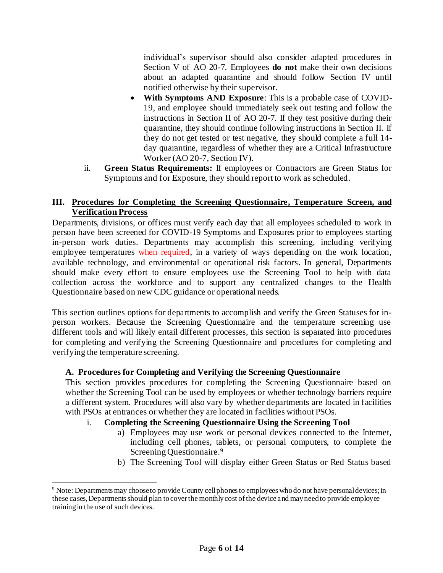individual's supervisor should also consider adapted procedures in Section V of AO 20-7. Employees **do not** make their own decisions about an adapted quarantine and should follow Section IV until notified otherwise by their supervisor.

- **With Symptoms AND Exposure**: This is a probable case of COVID-19, and employee should immediately seek out testing and follow the instructions in Section II of AO 20-7. If they test positive during their quarantine, they should continue following instructions in Section II. If they do not get tested or test negative, they should complete a full 14 day quarantine, regardless of whether they are a Critical Infrastructure Worker (AO 20-7, Section IV).
- ii. **Green Status Requirements:** If employees or Contractors are Green Status for Symptoms and for Exposure, they should report to work as scheduled.

## <span id="page-5-0"></span>**III. Procedures for Completing the Screening Questionnaire, Temperature Screen, and Verification Process**

Departments, divisions, or offices must verify each day that all employees scheduled to work in person have been screened for COVID-19 Symptoms and Exposures prior to employees starting in-person work duties. Departments may accomplish this screening, including verifying employee temperatures when required, in a variety of ways depending on the work location, available technology, and environmental or operational risk factors. In general, Departments should make every effort to ensure employees use the Screening Tool to help with data collection across the workforce and to support any centralized changes to the Health Questionnaire based on new CDC guidance or operational needs.

This section outlines options for departments to accomplish and verify the Green Statuses for inperson workers. Because the Screening Questionnaire and the temperature screening use different tools and will likely entail different processes, this section is separated into procedures for completing and verifying the Screening Questionnaire and procedures for completing and verifying the temperature screening.

## **A. Procedures for Completing and Verifying the Screening Questionnaire**

This section provides procedures for completing the Screening Questionnaire based on whether the Screening Tool can be used by employees or whether technology barriers require a different system. Procedures will also vary by whether departments are located in facilities with PSOs at entrances or whether they are located in facilities without PSOs.

## i. **Completing the Screening Questionnaire Using the Screening Tool**

- a) Employees may use work or personal devices connected to the Internet, including cell phones, tablets, or personal computers, to complete the Screening Questionnaire. 9
- b) The Screening Tool will display either Green Status or Red Status based

<sup>9</sup> Note: Departments may choose to provide County cell phones to employees who do not have personal devices; in these cases, Departments should plan to cover the monthly cost of the device and may need to provide employee training in the use of such devices.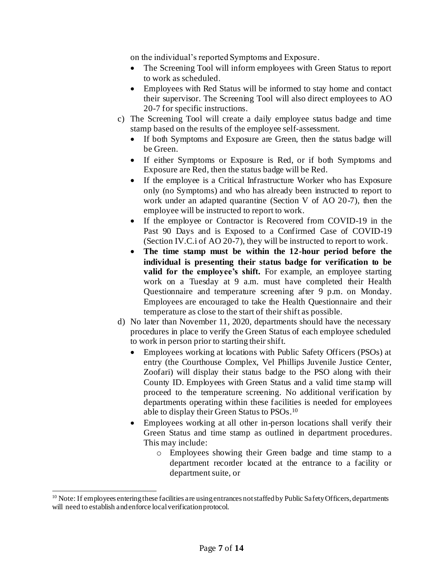on the individual's reported Symptoms and Exposure.

- The Screening Tool will inform employees with Green Status to report to work as scheduled.
- Employees with Red Status will be informed to stay home and contact their supervisor. The Screening Tool will also direct employees to AO 20-7 for specific instructions.
- c) The Screening Tool will create a daily employee status badge and time stamp based on the results of the employee self-assessment.
	- If both Symptoms and Exposure are Green, then the status badge will be Green.
	- If either Symptoms or Exposure is Red, or if both Symptoms and Exposure are Red, then the status badge will be Red.
	- If the employee is a Critical Infrastructure Worker who has Exposure only (no Symptoms) and who has already been instructed to report to work under an adapted quarantine (Section V of AO 20-7), then the employee will be instructed to report to work.
	- If the employee or Contractor is Recovered from COVID-19 in the Past 90 Days and is Exposed to a Confirmed Case of COVID-19 (Section IV.C.i of AO 20-7), they will be instructed to report to work.
	- **The time stamp must be within the 12-hour period before the individual is presenting their status badge for verification to be valid for the employee's shift.** For example, an employee starting work on a Tuesday at 9 a.m. must have completed their Health Questionnaire and temperature screening after 9 p.m. on Monday. Employees are encouraged to take the Health Questionnaire and their temperature as close to the start of their shift as possible.
- d) No later than November 11, 2020, departments should have the necessary procedures in place to verify the Green Status of each employee scheduled to work in person prior to starting their shift.
	- Employees working at locations with Public Safety Officers (PSOs) at entry (the Courthouse Complex, Vel Phillips Juvenile Justice Center, Zoofari) will display their status badge to the PSO along with their County ID. Employees with Green Status and a valid time stamp will proceed to the temperature screening. No additional verification by departments operating within these facilities is needed for employees able to display their Green Status to PSOs. 10
	- Employees working at all other in-person locations shall verify their Green Status and time stamp as outlined in department procedures. This may include:
		- o Employees showing their Green badge and time stamp to a department recorder located at the entrance to a facility or department suite, or

<sup>&</sup>lt;sup>10</sup> Note: If employees entering these facilities are using entrances not staffed by Public Safety Officers, departments will need to establish and enforce local verification protocol.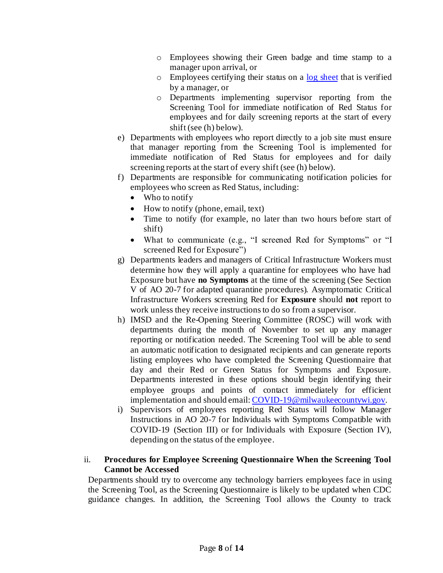- o Employees showing their Green badge and time stamp to a manager upon arrival, or
- $\circ$  Employees certifying their status on a [log sheet](https://county.milwaukee.gov/files/county/COVID-19/LogforDailyHealthScreening.pdf) that is verified by a manager, or
- o Departments implementing supervisor reporting from the Screening Tool for immediate notification of Red Status for employees and for daily screening reports at the start of every shift (see (h) below).
- e) Departments with employees who report directly to a job site must ensure that manager reporting from the Screening Tool is implemented for immediate notification of Red Status for employees and for daily screening reports at the start of every shift (see (h) below).
- f) Departments are responsible for communicating notification policies for employees who screen as Red Status, including:
	- Who to notify
	- How to notify (phone, email, text)
	- Time to notify (for example, no later than two hours before start of shift)
	- What to communicate (e.g., "I screened Red for Symptoms" or "I screened Red for Exposure")
- g) Departments leaders and managers of Critical Infrastructure Workers must determine how they will apply a quarantine for employees who have had Exposure but have **no Symptoms** at the time of the screening (See Section V of AO 20-7 for adapted quarantine procedures). Asymptomatic Critical Infrastructure Workers screening Red for **Exposure** should **not** report to work unless they receive instructionsto do so from a supervisor.
- h) IMSD and the Re-Opening Steering Committee (ROSC) will work with departments during the month of November to set up any manager reporting or notification needed. The Screening Tool will be able to send an automatic notification to designated recipients and can generate reports listing employees who have completed the Screening Questionnaire that day and their Red or Green Status for Symptoms and Exposure. Departments interested in these options should begin identifying their employee groups and points of contact immediately for efficient implementation and should email: [COVID-19@milwaukeecountywi.gov](mailto:COVID-19@milwaukeecountywi.gov).
- i) Supervisors of employees reporting Red Status will follow Manager Instructions in AO 20-7 for Individuals with Symptoms Compatible with COVID-19 (Section III) or for Individuals with Exposure (Section IV), depending on the status of the employee.

## ii. **Procedures for Employee Screening Questionnaire When the Screening Tool Cannot be Accessed**

Departments should try to overcome any technology barriers employees face in using the Screening Tool, as the Screening Questionnaire is likely to be updated when CDC guidance changes. In addition, the Screening Tool allows the County to track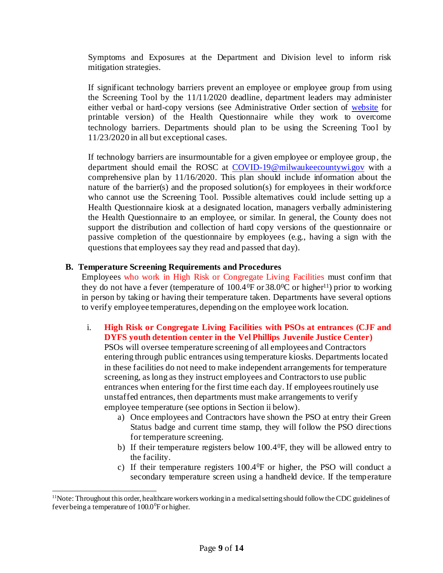Symptoms and Exposures at the Department and Division level to inform risk mitigation strategies.

If significant technology barriers prevent an employee or employee group from using the Screening Tool by the 11/11/2020 deadline, department leaders may administer either verbal or hard-copy versions (see Administrative Order section of [website](https://county.milwaukee.gov/EN/COVID-19) for printable version) of the Health Questionnaire while they work to overcome technology barriers. Departments should plan to be using the Screening Tool by 11/23/2020 in all but exceptional cases.

If technology barriers are insurmountable for a given employee or employee group, the department should email the ROSC at [COVID-19@milwaukeecountywi.gov](mailto:COVID-19@milwaukeecountywi.gov) with a comprehensive plan by 11/16/2020. This plan should include information about the nature of the barrier(s) and the proposed solution(s) for employees in their workforce who cannot use the Screening Tool. Possible alternatives could include setting up a Health Questionnaire kiosk at a designated location, managers verbally administering the Health Questionnaire to an employee, or similar. In general, the County does not support the distribution and collection of hard copy versions of the questionnaire or passive completion of the questionnaire by employees (e.g., having a sign with the questions that employees say they read and passed that day).

#### **B. Temperature Screening Requirements and Procedures**

Employees who work in High Risk or Congregate Living Facilities must confirm that they do not have a fever (temperature of  $100.4^{\circ}$ F or  $38.0^{\circ}$ C or higher<sup>11</sup>) prior to working in person by taking or having their temperature taken. Departments have several options to verify employee temperatures, depending on the employee work location.

i. **High Risk or Congregate Living Facilities with PSOs at entrances (CJF and DYFS youth detention center in the Vel Phillips Juvenile Justice Center)** 

PSOs will oversee temperature screening of all employees and Contractors entering through public entrances using temperature kiosks. Departments located in these facilities do not need to make independent arrangements for temperature screening, as long as they instruct employees and Contractors to use public entrances when entering for the first time each day. If employees routinely use unstaffed entrances, then departments must make arrangements to verify employee temperature (see options in Section ii below).

- a) Once employees and Contractors have shown the PSO at entry their Green Status badge and current time stamp, they will follow the PSO directions for temperature screening.
- b) If their temperature registers below 100.40F, they will be allowed entry to the facility.
- c) If their temperature registers 100.40F or higher, the PSO will conduct a secondary temperature screen using a handheld device. If the temperature

 $11$ Note: Throughout this order, healthcare workers working in a medical setting should follow the CDC guidelines of fever being a temperature of  $100.0^{\circ}$ F or higher.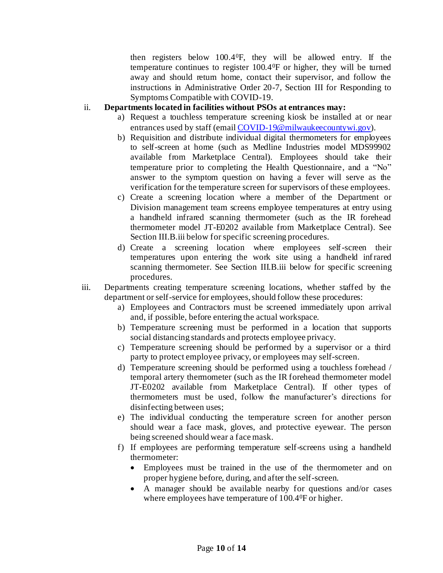then registers below 100.40F, they will be allowed entry. If the temperature continues to register 100.40F or higher, they will be turned away and should return home, contact their supervisor, and follow the instructions in Administrative Order 20-7, Section III for Responding to Symptoms Compatible with COVID-19.

#### ii. **Departments located in facilities without PSOs at entrances may:**

- a) Request a touchless temperature screening kiosk be installed at or near entrances used by staff (emai[l COVID-19@milwaukeecountywi.gov](mailto:COVID-19@milwaukeecountywi.gov)).
- b) Requisition and distribute individual digital thermometers for employees to self-screen at home (such as Medline Industries model MDS99902 available from Marketplace Central). Employees should take their temperature prior to completing the Health Questionnaire, and a "No" answer to the symptom question on having a fever will serve as the verification for the temperature screen for supervisors of these employees.
- c) Create a screening location where a member of the Department or Division management team screens employee temperatures at entry using a handheld infrared scanning thermometer (such as the IR forehead thermometer model JT-E0202 available from Marketplace Central). See Section III.B.iii below for specific screening procedures.
- d) Create a screening location where employees self-screen their temperatures upon entering the work site using a handheld infrared scanning thermometer. See Section III.B.iii below for specific screening procedures.
- iii. Departments creating temperature screening locations, whether staffed by the department or self-service for employees, should follow these procedures:
	- a) Employees and Contractors must be screened immediately upon arrival and, if possible, before entering the actual workspace.
	- b) Temperature screening must be performed in a location that supports social distancing standards and protects employee privacy.
	- c) Temperature screening should be performed by a supervisor or a third party to protect employee privacy, or employees may self-screen.
	- d) Temperature screening should be performed using a touchless forehead / temporal artery thermometer (such as the IR forehead thermometer model JT-E0202 available from Marketplace Central). If other types of thermometers must be used, follow the manufacturer's directions for disinfecting between uses;
	- e) The individual conducting the temperature screen for another person should wear a face mask, gloves, and protective eyewear. The person being screened should wear a face mask.
	- f) If employees are performing temperature self-screens using a handheld thermometer:
		- Employees must be trained in the use of the thermometer and on proper hygiene before, during, and after the self-screen.
		- A manager should be available nearby for questions and/or cases where employees have temperature of 100.40F or higher.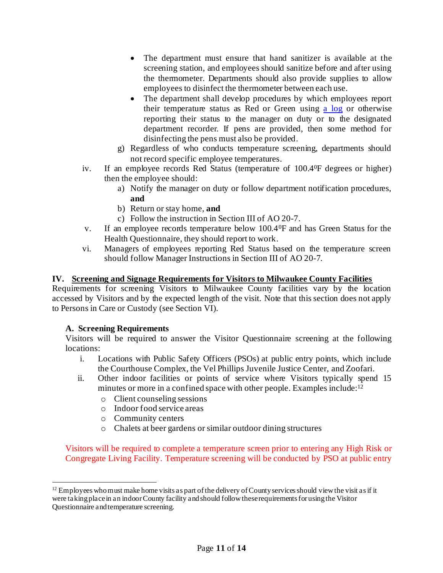- The department must ensure that hand sanitizer is available at the screening station, and employees should sanitize before and after using the thermometer. Departments should also provide supplies to allow employees to disinfect the thermometer between each use.
- The department shall develop procedures by which employees report their temperature status as Red or Green using [a log](https://county.milwaukee.gov/files/county/COVID-19/LogforDailyHealthScreening.pdf) or otherwise reporting their status to the manager on duty or to the designated department recorder. If pens are provided, then some method for disinfecting the pens must also be provided.
- g) Regardless of who conducts temperature screening, departments should not record specific employee temperatures.
- iv. If an employee records Red Status (temperature of 100.4<sup>0</sup>F degrees or higher) then the employee should:
	- a) Notify the manager on duty or follow department notification procedures, **and**
	- b) Return or stay home, **and**
	- c) Follow the instruction in Section III of AO 20-7.
- v. If an employee records temperature below 100.40F and has Green Status for the Health Questionnaire, they should report to work.
- vi. Managers of employees reporting Red Status based on the temperature screen should follow Manager Instructions in Section III of AO 20-7.

## <span id="page-10-0"></span>**IV. Screening and Signage Requirements for Visitors to Milwaukee County Facilities**

Requirements for screening Visitors to Milwaukee County facilities vary by the location accessed by Visitors and by the expected length of the visit. Note that this section does not apply to Persons in Care or Custody (see Section VI).

## **A. Screening Requirements**

Visitors will be required to answer the Visitor Questionnaire screening at the following locations:

- i. Locations with Public Safety Officers (PSOs) at public entry points, which include the Courthouse Complex, the Vel Phillips Juvenile Justice Center, and Zoofari.
- ii. Other indoor facilities or points of service where Visitors typically spend 15 minutes or more in a confined space with other people. Examples include:<sup>12</sup>
	- o Client counseling sessions
	- o Indoor food service areas
	- o Community centers
	- o Chalets at beer gardens or similar outdoor dining structures

Visitors will be required to complete a temperature screen prior to entering any High Risk or Congregate Living Facility. Temperature screening will be conducted by PSO at public entry

 $12$  Employees who must make home visits as part of the delivery of County services should view the visit as if it were taking place in an indoor County facility and should follow these requirements for using the Visitor Questionnaire and temperature screening.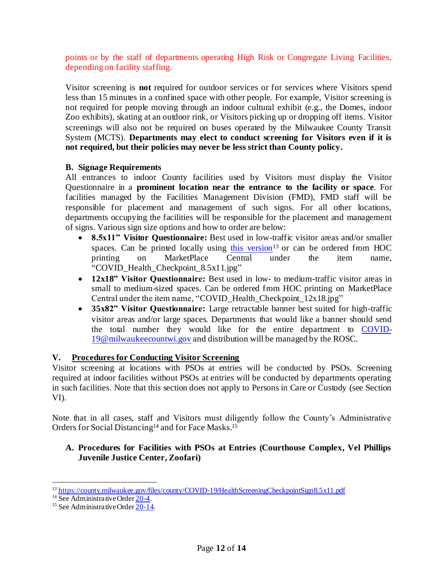points or by the staff of departments operating High Risk or Congregate Living Facilities, depending on facility staffing.

Visitor screening is **not** required for outdoor services or for services where Visitors spend less than 15 minutes in a confined space with other people. For example, Visitor screening is not required for people moving through an indoor cultural exhibit (e.g., the Domes, indoor Zoo exhibits), skating at an outdoor rink, or Visitors picking up or dropping off items. Visitor screenings will also not be required on buses operated by the Milwaukee County Transit System (MCTS). **Departments may elect to conduct screening for Visitors even if it is not required, but their policies may never be less strict than County policy.** 

### **B. Signage Requirements**

All entrances to indoor County facilities used by Visitors must display the Visitor Questionnaire in a **prominent location near the entrance to the facility or space**. For facilities managed by the Facilities Management Division (FMD), FMD staff will be responsible for placement and management of such signs. For all other locations, departments occupying the facilities will be responsible for the placement and management of signs. Various sign size options and how to order are below:

- **8.5x11" Visitor Questionnaire:** Best used in low-traffic visitor areas and/or smaller spaces. Can be printed locally using [this version](https://county.milwaukee.gov/files/county/COVID-19/HealthScreeningCheckpointSign8.5x11.pdf)<sup>13</sup> or can be ordered from HOC printing on MarketPlace Central under the item name, "COVID\_Health\_Checkpoint\_8.5x11.jpg"
- **12x18" Visitor Questionnaire:** Best used in low- to medium-traffic visitor areas in small to medium-sized spaces. Can be ordered from HOC printing on MarketPlace Central under the item name, "COVID\_Health\_Checkpoint\_12x18.jpg"
- **35x82" Visitor Questionnaire:** Large retractable banner best suited for high-traffic visitor areas and/or large spaces. Departments that would like a banner should send the total number they would like for the entire department to [COVID-](mailto:COVID-19@milwaukeecountwi.gov)[19@milwaukeecountwi.gov](mailto:COVID-19@milwaukeecountwi.gov) and distribution will be managed by the ROSC.

## <span id="page-11-0"></span>**V. Procedures for Conducting Visitor Screening**

Visitor screening at locations with PSOs at entries will be conducted by PSOs. Screening required at indoor facilities without PSOs at entries will be conducted by departments operating in such facilities. Note that this section does not apply to Persons in Care or Custody (see Section VI).

Note that in all cases, staff and Visitors must diligently follow the County's Administrative Orders for Social Distancing<sup>14</sup> and for Face Masks.<sup>15</sup>

## **A. Procedures for Facilities with PSOs at Entries (Courthouse Complex, Vel Phillips Juvenile Justice Center, Zoofari)**

<sup>&</sup>lt;sup>13</sup> <https://county.milwaukee.gov/files/county/COVID-19/HealthScreeningCheckpointSign8.5x11.pdf>

<sup>&</sup>lt;sup>14</sup> See Administrative Orde[r 20-4](https://county.milwaukee.gov/EN/COVID-19).

<sup>&</sup>lt;sup>15</sup> See Administrative Orde[r 20-14](https://county.milwaukee.gov/EN/COVID-19).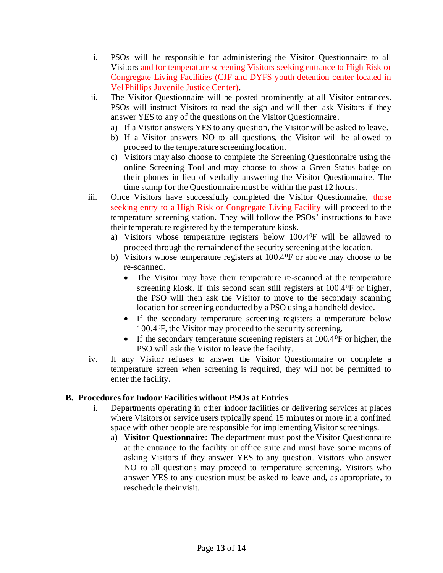- i. PSOs will be responsible for administering the Visitor Questionnaire to all Visitors and for temperature screening Visitors seeking entrance to High Risk or Congregate Living Facilities (CJF and DYFS youth detention center located in Vel Phillips Juvenile Justice Center).
- ii. The Visitor Questionnaire will be posted prominently at all Visitor entrances. PSOs will instruct Visitors to read the sign and will then ask Visitors if they answer YES to any of the questions on the Visitor Questionnaire.
	- a) If a Visitor answers YES to any question, the Visitor will be asked to leave.
	- b) If a Visitor answers NO to all questions, the Visitor will be allowed to proceed to the temperature screening location.
	- c) Visitors may also choose to complete the Screening Questionnaire using the online Screening Tool and may choose to show a Green Status badge on their phones in lieu of verbally answering the Visitor Questionnaire. The time stamp for the Questionnaire must be within the past 12 hours.
- iii. Once Visitors have successfully completed the Visitor Questionnaire, those seeking entry to a High Risk or Congregate Living Facility will proceed to the temperature screening station. They will follow the PSOs' instructions to have their temperature registered by the temperature kiosk.
	- a) Visitors whose temperature registers below 100.40F will be allowed to proceed through the remainder of the security screening at the location.
	- b) Visitors whose temperature registers at  $100.4$ <sup>o</sup>F or above may choose to be re-scanned.
		- The Visitor may have their temperature re-scanned at the temperature screening kiosk. If this second scan still registers at 100.40F or higher, the PSO will then ask the Visitor to move to the secondary scanning location for screening conducted by a PSO using a handheld device.
		- If the secondary temperature screening registers a temperature below 100.40F, the Visitor may proceed to the security screening.
		- If the secondary temperature screening registers at  $100.4\text{°F}$  or higher, the PSO will ask the Visitor to leave the facility.
- iv. If any Visitor refuses to answer the Visitor Questionnaire or complete a temperature screen when screening is required, they will not be permitted to enter the facility.

## **B. Procedures for Indoor Facilities without PSOs at Entries**

- i. Departments operating in other indoor facilities or delivering services at places where Visitors or service users typically spend 15 minutes or more in a confined space with other people are responsible for implementing Visitor screenings.
	- a) **Visitor Questionnaire:** The department must post the Visitor Questionnaire at the entrance to the facility or office suite and must have some means of asking Visitors if they answer YES to any question. Visitors who answer NO to all questions may proceed to temperature screening. Visitors who answer YES to any question must be asked to leave and, as appropriate, to reschedule their visit.